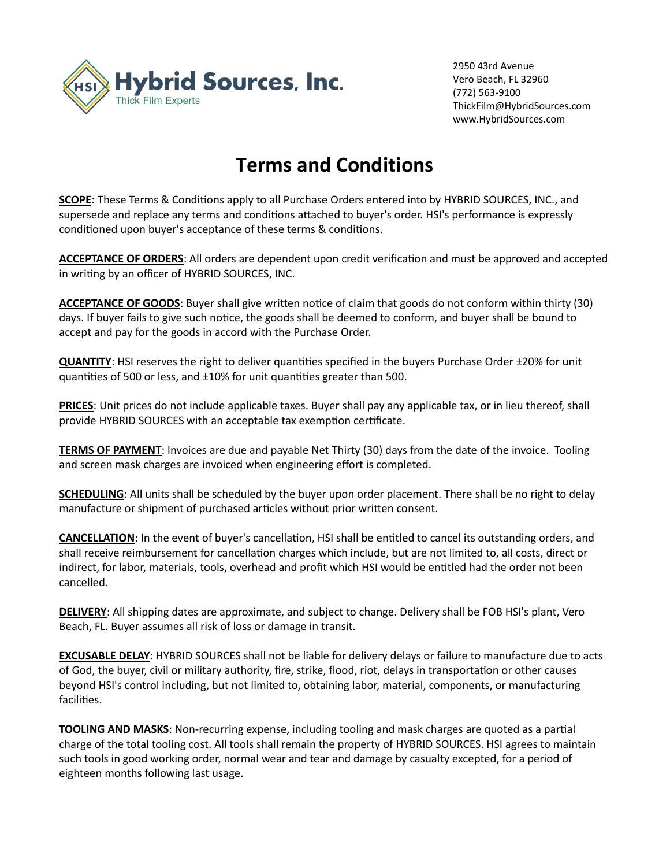

2950 43rd Avenue Vero Beach, FL 32960 (772) 563-9100 ThickFilm@HybridSources.com www.HybridSources.com

## **Terms and Conditions**

**SCOPE**: These Terms & Conditions apply to all Purchase Orders entered into by HYBRID SOURCES, INC., and supersede and replace any terms and conditions attached to buyer's order. HSI's performance is expressly conditioned upon buyer's acceptance of these terms & conditions.

**ACCEPTANCE OF ORDERS**: All orders are dependent upon credit verification and must be approved and accepted in writing by an officer of HYBRID SOURCES, INC.

**ACCEPTANCE OF GOODS**: Buyer shall give written notice of claim that goods do not conform within thirty (30) days. If buyer fails to give such notice, the goods shall be deemed to conform, and buyer shall be bound to accept and pay for the goods in accord with the Purchase Order.

**QUANTITY**: HSI reserves the right to deliver quantities specified in the buyers Purchase Order ±20% for unit quantities of 500 or less, and ±10% for unit quantities greater than 500.

**PRICES**: Unit prices do not include applicable taxes. Buyer shall pay any applicable tax, or in lieu thereof, shall provide HYBRID SOURCES with an acceptable tax exemption certificate.

**TERMS OF PAYMENT**: Invoices are due and payable Net Thirty (30) days from the date of the invoice. Tooling and screen mask charges are invoiced when engineering effort is completed.

**SCHEDULING**: All units shall be scheduled by the buyer upon order placement. There shall be no right to delay manufacture or shipment of purchased articles without prior written consent.

**CANCELLATION**: In the event of buyer's cancellation, HSI shall be entitled to cancel its outstanding orders, and shall receive reimbursement for cancellation charges which include, but are not limited to, all costs, direct or indirect, for labor, materials, tools, overhead and profit which HSI would be entitled had the order not been cancelled.

**DELIVERY**: All shipping dates are approximate, and subject to change. Delivery shall be FOB HSI's plant, Vero Beach, FL. Buyer assumes all risk of loss or damage in transit.

**EXCUSABLE DELAY**: HYBRID SOURCES shall not be liable for delivery delays or failure to manufacture due to acts of God, the buyer, civil or military authority, fire, strike, flood, riot, delays in transportation or other causes beyond HSI's control including, but not limited to, obtaining labor, material, components, or manufacturing facilities.

**TOOLING AND MASKS**: Non-recurring expense, including tooling and mask charges are quoted as a partial charge of the total tooling cost. All tools shall remain the property of HYBRID SOURCES. HSI agrees to maintain such tools in good working order, normal wear and tear and damage by casualty excepted, for a period of eighteen months following last usage.